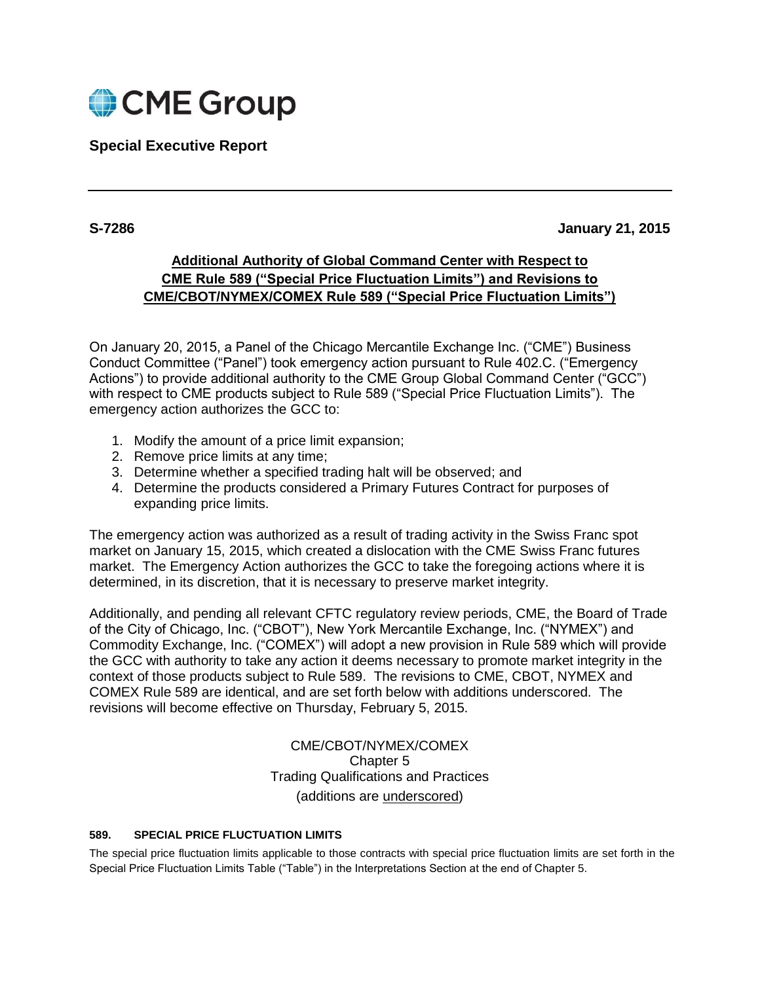

## **Special Executive Report**

## **S-7286 January 21, 2015**

# **Additional Authority of Global Command Center with Respect to CME Rule 589 ("Special Price Fluctuation Limits") and Revisions to CME/CBOT/NYMEX/COMEX Rule 589 ("Special Price Fluctuation Limits")**

On January 20, 2015, a Panel of the Chicago Mercantile Exchange Inc. ("CME") Business Conduct Committee ("Panel") took emergency action pursuant to Rule 402.C. ("Emergency Actions") to provide additional authority to the CME Group Global Command Center ("GCC") with respect to CME products subject to Rule 589 ("Special Price Fluctuation Limits"). The emergency action authorizes the GCC to:

- 1. Modify the amount of a price limit expansion;
- 2. Remove price limits at any time;
- 3. Determine whether a specified trading halt will be observed; and
- 4. Determine the products considered a Primary Futures Contract for purposes of expanding price limits.

The emergency action was authorized as a result of trading activity in the Swiss Franc spot market on January 15, 2015, which created a dislocation with the CME Swiss Franc futures market. The Emergency Action authorizes the GCC to take the foregoing actions where it is determined, in its discretion, that it is necessary to preserve market integrity.

Additionally, and pending all relevant CFTC regulatory review periods, CME, the Board of Trade of the City of Chicago, Inc. ("CBOT"), New York Mercantile Exchange, Inc. ("NYMEX") and Commodity Exchange, Inc. ("COMEX") will adopt a new provision in Rule 589 which will provide the GCC with authority to take any action it deems necessary to promote market integrity in the context of those products subject to Rule 589. The revisions to CME, CBOT, NYMEX and COMEX Rule 589 are identical, and are set forth below with additions underscored. The revisions will become effective on Thursday, February 5, 2015.

> CME/CBOT/NYMEX/COMEX Chapter 5 Trading Qualifications and Practices (additions are underscored)

#### **589. SPECIAL PRICE FLUCTUATION LIMITS**

The special price fluctuation limits applicable to those contracts with special price fluctuation limits are set forth in the Special Price Fluctuation Limits Table ("Table") in the Interpretations Section at the end of Chapter 5.